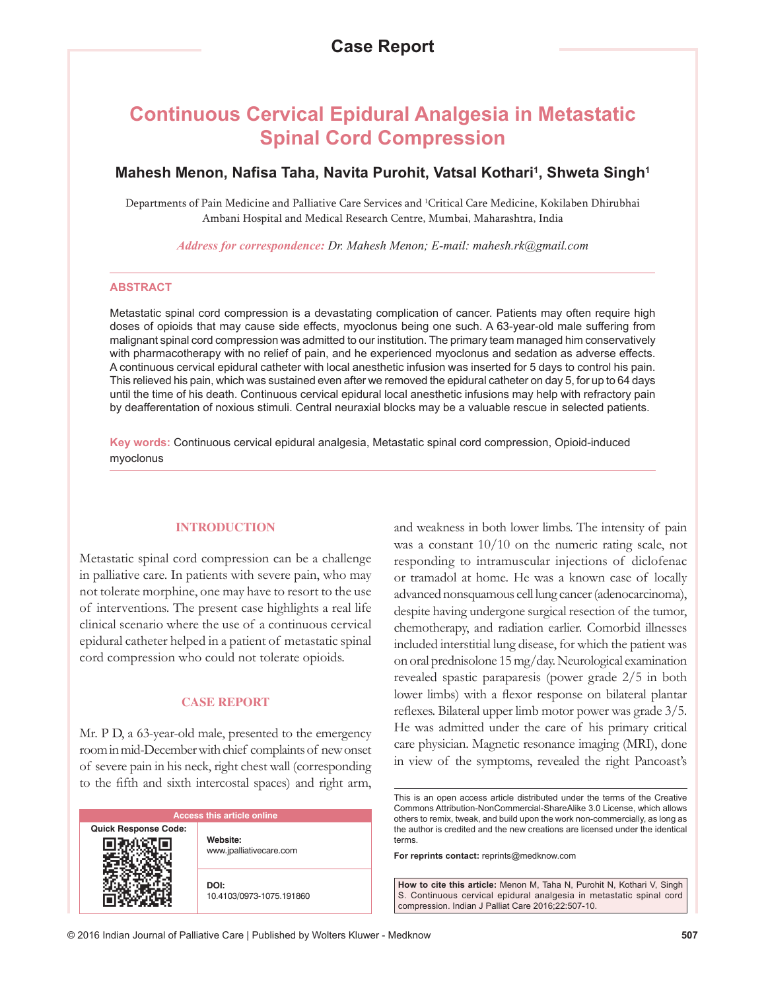# **Continuous Cervical Epidural Analgesia in Metastatic Spinal Cord Compression**

## **Mahesh Menon, Nafisa Taha, Navita Purohit, Vatsal Kothari<sup>1</sup> , Shweta Singh1**

Departments of Pain Medicine and Palliative Care Services and 1 Critical Care Medicine, Kokilaben Dhirubhai Ambani Hospital and Medical Research Centre, Mumbai, Maharashtra, India

*Address for correspondence: Dr. Mahesh Menon; E‑mail: mahesh.rk@gmail.com*

#### **ABSTRACT**

Metastatic spinal cord compression is a devastating complication of cancer. Patients may often require high doses of opioids that may cause side effects, myoclonus being one such. A 63-year-old male suffering from malignant spinal cord compression was admitted to our institution. The primary team managed him conservatively with pharmacotherapy with no relief of pain, and he experienced myoclonus and sedation as adverse effects. A continuous cervical epidural catheter with local anesthetic infusion was inserted for 5 days to control his pain. This relieved his pain, which was sustained even after we removed the epidural catheter on day 5, for up to 64 days until the time of his death. Continuous cervical epidural local anesthetic infusions may help with refractory pain by deafferentation of noxious stimuli. Central neuraxial blocks may be a valuable rescue in selected patients.

**Key words:** Continuous cervical epidural analgesia, Metastatic spinal cord compression, Opioid-induced myoclonus

#### **INTRODUCTION**

Metastatic spinal cord compression can be a challenge in palliative care. In patients with severe pain, who may not tolerate morphine, one may have to resort to the use of interventions. The present case highlights a real life clinical scenario where the use of a continuous cervical epidural catheter helped in a patient of metastatic spinal cord compression who could not tolerate opioids.

#### **CASE REPORT**

Mr. P D, a 63-year-old male, presented to the emergency room in mid‑December with chief complaints of new onset of severe pain in his neck, right chest wall (corresponding to the fifth and sixth intercostal spaces) and right arm,

| <b>Access this article online</b> |                                     |
|-----------------------------------|-------------------------------------|
| <b>Quick Response Code:</b>       | Website:<br>www.jpalliativecare.com |
|                                   | DOI:<br>10.4103/0973-1075.191860    |

and weakness in both lower limbs. The intensity of pain was a constant 10/10 on the numeric rating scale, not responding to intramuscular injections of diclofenac or tramadol at home. He was a known case of locally advanced nonsquamous cell lung cancer(adenocarcinoma), despite having undergone surgical resection of the tumor, chemotherapy, and radiation earlier. Comorbid illnesses included interstitial lung disease, for which the patient was on oral prednisolone 15mg/day. Neurological examination revealed spastic paraparesis (power grade 2/5 in both lower limbs) with a flexor response on bilateral plantar reflexes. Bilateral upper limb motor power was grade 3/5. He was admitted under the care of his primary critical care physician. Magnetic resonance imaging (MRI), done in view of the symptoms, revealed the right Pancoast's

**For reprints contact:** reprints@medknow.com

**How to cite this article:** Menon M, Taha N, Purohit N, Kothari V, Singh S. Continuous cervical epidural analgesia in metastatic spinal cord compression. Indian J Palliat Care 2016;22:507-10.

This is an open access article distributed under the terms of the Creative Commons Attribution-NonCommercial-ShareAlike 3.0 License, which allows others to remix, tweak, and build upon the work non-commercially, as long as the author is credited and the new creations are licensed under the identical terms.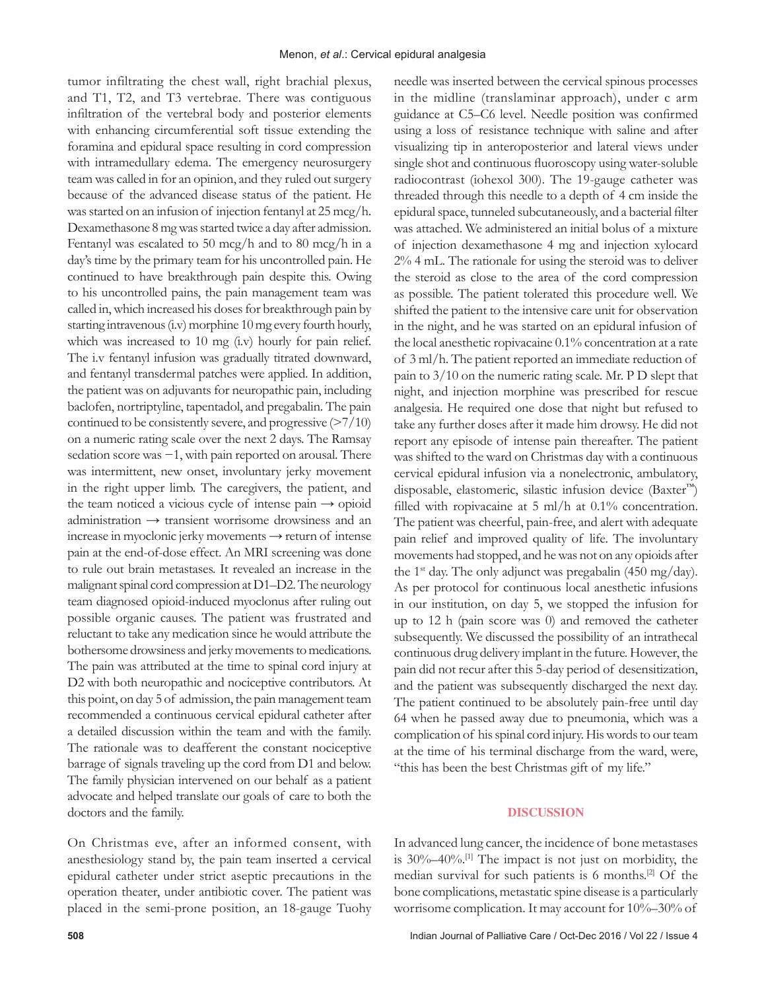tumor infiltrating the chest wall, right brachial plexus, and T1, T2, and T3 vertebrae. There was contiguous infiltration of the vertebral body and posterior elements with enhancing circumferential soft tissue extending the foramina and epidural space resulting in cord compression with intramedullary edema. The emergency neurosurgery team was called in for an opinion, and they ruled out surgery because of the advanced disease status of the patient. He was started on an infusion of injection fentanyl at 25 mcg/h. Dexamethasone 8 mg was started twice a day after admission. Fentanyl was escalated to 50 mcg/h and to 80 mcg/h in a day's time by the primary team for his uncontrolled pain. He continued to have breakthrough pain despite this. Owing to his uncontrolled pains, the pain management team was called in, which increased his doses for breakthrough pain by starting intravenous (i.v) morphine 10 mg every fourth hourly, which was increased to 10 mg (i.v) hourly for pain relief. The i.v fentanyl infusion was gradually titrated downward, and fentanyl transdermal patches were applied. In addition, the patient was on adjuvants for neuropathic pain, including baclofen, nortriptyline, tapentadol, and pregabalin. The pain continued to be consistently severe, and progressive (>7/10) on a numeric rating scale over the next 2 days. The Ramsay sedation score was  $-1$ , with pain reported on arousal. There was intermittent, new onset, involuntary jerky movement in the right upper limb. The caregivers, the patient, and the team noticed a vicious cycle of intense pain  $\rightarrow$  opioid administration → transient worrisome drowsiness and an increase in myoclonic jerky movements → return of intense pain at the end-of-dose effect. An MRI screening was done to rule out brain metastases. It revealed an increase in the malignant spinal cord compression at D1–D2. The neurology team diagnosed opioid‑induced myoclonus after ruling out possible organic causes. The patient was frustrated and reluctant to take any medication since he would attribute the bothersome drowsiness and jerky movements to medications. The pain was attributed at the time to spinal cord injury at D2 with both neuropathic and nociceptive contributors. At this point, on day 5 of admission, the pain management team recommended a continuous cervical epidural catheter after a detailed discussion within the team and with the family. The rationale was to deafferent the constant nociceptive barrage of signals traveling up the cord from D1 and below. The family physician intervened on our behalf as a patient advocate and helped translate our goals of care to both the doctors and the family.

On Christmas eve, after an informed consent, with anesthesiology stand by, the pain team inserted a cervical epidural catheter under strict aseptic precautions in the operation theater, under antibiotic cover. The patient was placed in the semi‑prone position, an 18‑gauge Tuohy needle was inserted between the cervical spinous processes in the midline (translaminar approach), under c arm guidance at C5–C6 level. Needle position was confirmed using a loss of resistance technique with saline and after visualizing tip in anteroposterior and lateral views under single shot and continuous fluoroscopy using water-soluble radiocontrast (iohexol 300). The 19‑gauge catheter was threaded through this needle to a depth of 4 cm inside the epidural space, tunneled subcutaneously, and a bacterial filter was attached. We administered an initial bolus of a mixture of injection dexamethasone 4 mg and injection xylocard 2% 4 mL. The rationale for using the steroid was to deliver the steroid as close to the area of the cord compression as possible. The patient tolerated this procedure well. We shifted the patient to the intensive care unit for observation in the night, and he was started on an epidural infusion of the local anesthetic ropivacaine 0.1% concentration at a rate of 3 ml/h. The patient reported an immediate reduction of pain to 3/10 on the numeric rating scale. Mr. P D slept that night, and injection morphine was prescribed for rescue analgesia. He required one dose that night but refused to take any further doses after it made him drowsy. He did not report any episode of intense pain thereafter. The patient was shifted to the ward on Christmas day with a continuous cervical epidural infusion via a nonelectronic, ambulatory, disposable, elastomeric, silastic infusion device (Baxter™) filled with ropivacaine at 5 ml/h at 0.1% concentration. The patient was cheerful, pain-free, and alert with adequate pain relief and improved quality of life. The involuntary movements had stopped, and he was not on any opioids after the 1<sup>st</sup> day. The only adjunct was pregabalin (450 mg/day). As per protocol for continuous local anesthetic infusions in our institution, on day 5, we stopped the infusion for up to 12 h (pain score was 0) and removed the catheter subsequently. We discussed the possibility of an intrathecal continuous drug delivery implant in the future. However, the pain did not recur after this 5‑day period of desensitization, and the patient was subsequently discharged the next day. The patient continued to be absolutely pain-free until day 64 when he passed away due to pneumonia, which was a complication of his spinal cord injury. His words to our team at the time of his terminal discharge from the ward, were, "this has been the best Christmas gift of my life."

#### **DISCUSSION**

In advanced lung cancer, the incidence of bone metastases is 30%–40%.[1] The impact is not just on morbidity, the median survival for such patients is 6 months.[2] Of the bone complications, metastatic spine disease is a particularly worrisome complication. It may account for 10%–30% of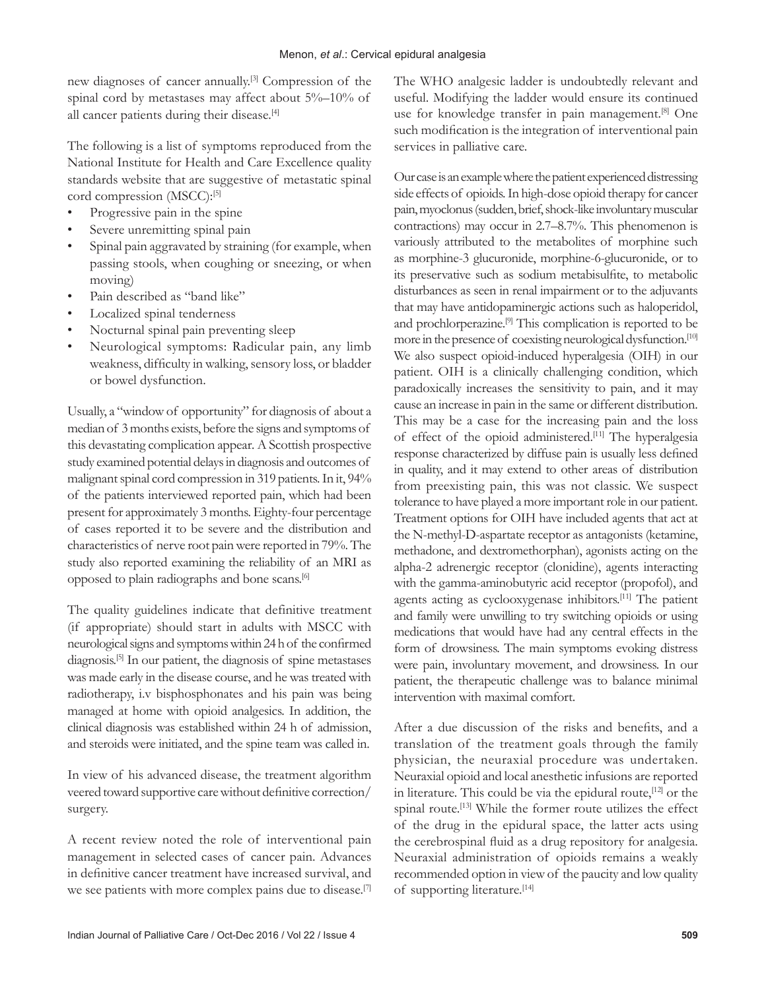new diagnoses of cancer annually.[3] Compression of the spinal cord by metastases may affect about 5%–10% of all cancer patients during their disease.<sup>[4]</sup>

The following is a list of symptoms reproduced from the National Institute for Health and Care Excellence quality standards website that are suggestive of metastatic spinal cord compression (MSCC):<sup>[5]</sup>

- Progressive pain in the spine
- Severe unremitting spinal pain
- Spinal pain aggravated by straining (for example, when passing stools, when coughing or sneezing, or when moving)
- Pain described as "band like"
- Localized spinal tenderness
- Nocturnal spinal pain preventing sleep
- Neurological symptoms: Radicular pain, any limb weakness, difficulty in walking, sensory loss, or bladder or bowel dysfunction.

Usually, a "window of opportunity" for diagnosis of about a median of 3months exists, before the signs and symptoms of this devastating complication appear*.* A Scottish prospective study examined potential delays in diagnosis and outcomes of malignant spinal cord compression in 319 patients. In it, 94% of the patients interviewed reported pain, which had been present for approximately 3 months. Eighty-four percentage of cases reported it to be severe and the distribution and characteristics of nerve root pain were reported in 79%. The study also reported examining the reliability of an MRI as opposed to plain radiographs and bone scans.[6]

The quality guidelines indicate that definitive treatment (if appropriate) should start in adults with MSCC with neurological signs and symptoms within 24h of the confirmed diagnosis.[5] In our patient, the diagnosis of spine metastases was made early in the disease course, and he was treated with radiotherapy, i.v bisphosphonates and his pain was being managed at home with opioid analgesics. In addition, the clinical diagnosis was established within 24 h of admission, and steroids were initiated, and the spine team was called in.

In view of his advanced disease, the treatment algorithm veered toward supportive care without definitive correction/ surgery.

A recent review noted the role of interventional pain management in selected cases of cancer pain. Advances in definitive cancer treatment have increased survival, and we see patients with more complex pains due to disease.[7] The WHO analgesic ladder is undoubtedly relevant and useful. Modifying the ladder would ensure its continued use for knowledge transfer in pain management.<sup>[8]</sup> One such modification is the integration of interventional pain services in palliative care.

Our case is an example where the patient experienced distressing side effects of opioids. In high-dose opioid therapy for cancer pain, myoclonus (sudden, brief, shock-like involuntary muscular contractions) may occur in 2.7–8.7%. This phenomenon is variously attributed to the metabolites of morphine such as morphine‑3 glucuronide, morphine‑6‑glucuronide, or to its preservative such as sodium metabisulfite, to metabolic disturbances as seen in renal impairment or to the adjuvants that may have antidopaminergic actions such as haloperidol, and prochlorperazine.<sup>[9]</sup> This complication is reported to be more in the presence of coexisting neurological dysfunction.[10] We also suspect opioid-induced hyperalgesia (OIH) in our patient. OIH is a clinically challenging condition, which paradoxically increases the sensitivity to pain, and it may cause an increase in pain in the same or different distribution. This may be a case for the increasing pain and the loss of effect of the opioid administered.[11] The hyperalgesia response characterized by diffuse pain is usually less defined in quality, and it may extend to other areas of distribution from preexisting pain, this was not classic. We suspect tolerance to have played a more important role in our patient. Treatment options for OIH have included agents that act at the N-methyl-D-aspartate receptor as antagonists (ketamine, methadone, and dextromethorphan), agonists acting on the alpha‑2 adrenergic receptor (clonidine), agents interacting with the gamma‑aminobutyric acid receptor (propofol), and agents acting as cyclooxygenase inhibitors.<sup>[11]</sup> The patient and family were unwilling to try switching opioids or using medications that would have had any central effects in the form of drowsiness. The main symptoms evoking distress were pain, involuntary movement, and drowsiness. In our patient, the therapeutic challenge was to balance minimal intervention with maximal comfort.

After a due discussion of the risks and benefits, and a translation of the treatment goals through the family physician, the neuraxial procedure was undertaken. Neuraxial opioid and local anesthetic infusions are reported in literature. This could be via the epidural route, $[12]$  or the spinal route.[13] While the former route utilizes the effect of the drug in the epidural space, the latter acts using the cerebrospinal fluid as a drug repository for analgesia. Neuraxial administration of opioids remains a weakly recommended option in view of the paucity and low quality of supporting literature.[14]